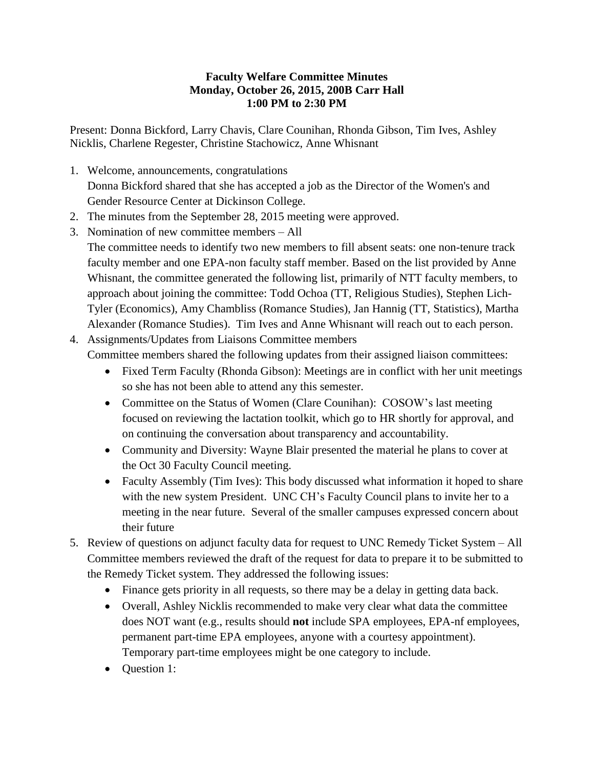## **Faculty Welfare Committee Minutes Monday, October 26, 2015, 200B Carr Hall 1:00 PM to 2:30 PM**

Present: Donna Bickford, Larry Chavis, Clare Counihan, Rhonda Gibson, Tim Ives, Ashley Nicklis, Charlene Regester, Christine Stachowicz, Anne Whisnant

- 1. Welcome, announcements, congratulations Donna Bickford shared that she has accepted a job as the Director of the Women's and Gender Resource Center at Dickinson College.
- 2. The minutes from the September 28, 2015 meeting were approved.
- 3. Nomination of new committee members All The committee needs to identify two new members to fill absent seats: one non-tenure track faculty member and one EPA-non faculty staff member. Based on the list provided by Anne Whisnant, the committee generated the following list, primarily of NTT faculty members, to approach about joining the committee: Todd Ochoa (TT, Religious Studies), Stephen Lich-Tyler (Economics), Amy Chambliss (Romance Studies), Jan Hannig (TT, Statistics), Martha Alexander (Romance Studies). Tim Ives and Anne Whisnant will reach out to each person.
- 4. Assignments/Updates from Liaisons Committee members Committee members shared the following updates from their assigned liaison committees:
	- Fixed Term Faculty (Rhonda Gibson): Meetings are in conflict with her unit meetings so she has not been able to attend any this semester.
	- Committee on the Status of Women (Clare Counihan): COSOW's last meeting focused on reviewing the lactation toolkit, which go to HR shortly for approval, and on continuing the conversation about transparency and accountability.
	- Community and Diversity: Wayne Blair presented the material he plans to cover at the Oct 30 Faculty Council meeting.
	- Faculty Assembly (Tim Ives): This body discussed what information it hoped to share with the new system President. UNC CH's Faculty Council plans to invite her to a meeting in the near future. Several of the smaller campuses expressed concern about their future
- 5. Review of questions on adjunct faculty data for request to UNC Remedy Ticket System All Committee members reviewed the draft of the request for data to prepare it to be submitted to the Remedy Ticket system. They addressed the following issues:
	- Finance gets priority in all requests, so there may be a delay in getting data back.
	- Overall, Ashley Nicklis recommended to make very clear what data the committee does NOT want (e.g., results should **not** include SPA employees, EPA-nf employees, permanent part-time EPA employees, anyone with a courtesy appointment). Temporary part-time employees might be one category to include.
	- Question 1: